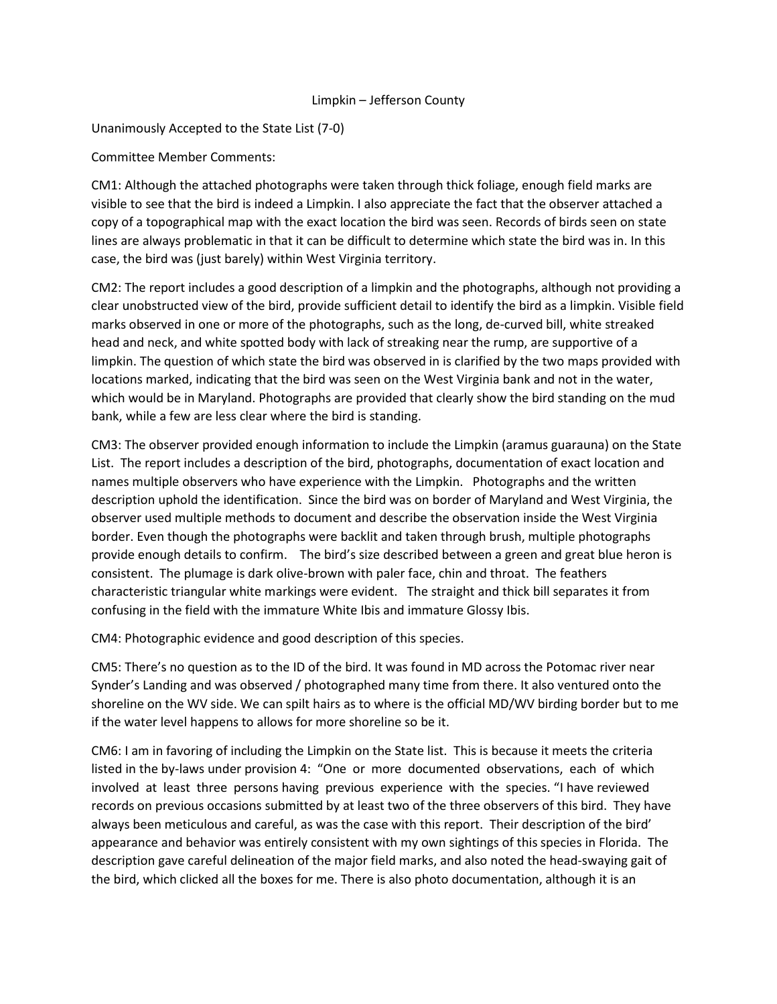## Limpkin – Jefferson County

Unanimously Accepted to the State List (7-0)

## Committee Member Comments:

CM1: Although the attached photographs were taken through thick foliage, enough field marks are visible to see that the bird is indeed a Limpkin. I also appreciate the fact that the observer attached a copy of a topographical map with the exact location the bird was seen. Records of birds seen on state lines are always problematic in that it can be difficult to determine which state the bird was in. In this case, the bird was (just barely) within West Virginia territory.

CM2: The report includes a good description of a limpkin and the photographs, although not providing a clear unobstructed view of the bird, provide sufficient detail to identify the bird as a limpkin. Visible field marks observed in one or more of the photographs, such as the long, de-curved bill, white streaked head and neck, and white spotted body with lack of streaking near the rump, are supportive of a limpkin. The question of which state the bird was observed in is clarified by the two maps provided with locations marked, indicating that the bird was seen on the West Virginia bank and not in the water, which would be in Maryland. Photographs are provided that clearly show the bird standing on the mud bank, while a few are less clear where the bird is standing.

CM3: The observer provided enough information to include the Limpkin (aramus guarauna) on the State List. The report includes a description of the bird, photographs, documentation of exact location and names multiple observers who have experience with the Limpkin. Photographs and the written description uphold the identification. Since the bird was on border of Maryland and West Virginia, the observer used multiple methods to document and describe the observation inside the West Virginia border. Even though the photographs were backlit and taken through brush, multiple photographs provide enough details to confirm. The bird's size described between a green and great blue heron is consistent. The plumage is dark olive-brown with paler face, chin and throat. The feathers characteristic triangular white markings were evident. The straight and thick bill separates it from confusing in the field with the immature White Ibis and immature Glossy Ibis.

CM4: Photographic evidence and good description of this species.

CM5: There's no question as to the ID of the bird. It was found in MD across the Potomac river near Synder's Landing and was observed / photographed many time from there. It also ventured onto the shoreline on the WV side. We can spilt hairs as to where is the official MD/WV birding border but to me if the water level happens to allows for more shoreline so be it.

CM6: I am in favoring of including the Limpkin on the State list. This is because it meets the criteria listed in the by-laws under provision 4: "One or more documented observations, each of which involved at least three persons having previous experience with the species. "I have reviewed records on previous occasions submitted by at least two of the three observers of this bird. They have always been meticulous and careful, as was the case with this report. Their description of the bird' appearance and behavior was entirely consistent with my own sightings of this species in Florida. The description gave careful delineation of the major field marks, and also noted the head-swaying gait of the bird, which clicked all the boxes for me. There is also photo documentation, although it is an